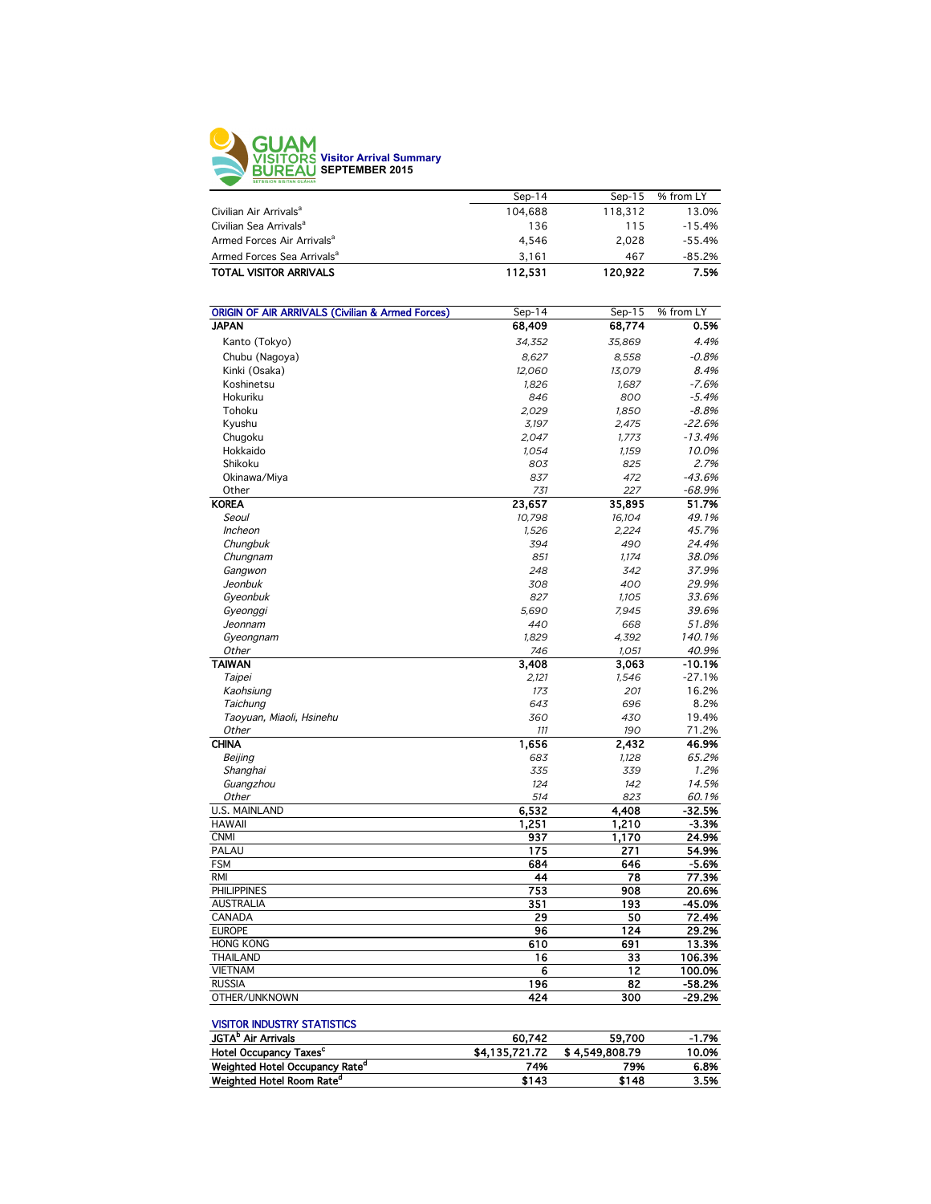

|                                        | $Sen-14$ | Sep-15  | % from LY |
|----------------------------------------|----------|---------|-----------|
| Civilian Air Arrivals <sup>a</sup>     | 104.688  | 118.312 | 13.0%     |
| Civilian Sea Arrivals <sup>a</sup>     | 136      | 115     | $-15.4%$  |
| Armed Forces Air Arrivals <sup>a</sup> | 4.546    | 2.028   | $-55.4%$  |
| Armed Forces Sea Arrivals <sup>a</sup> | 3.161    | 467     | $-85.2%$  |
| <b>TOTAL VISITOR ARRIVALS</b>          | 112.531  | 120.922 | 7.5%      |
|                                        |          |         |           |

| <b>ORIGIN OF AIR ARRIVALS (Civilian &amp; Armed Forces)</b> | Sep-14     | Sep-15       | % from LY       |
|-------------------------------------------------------------|------------|--------------|-----------------|
| <b>JAPAN</b>                                                | 68,409     | 68,774       | 0.5%            |
| Kanto (Tokyo)                                               | 34,352     | 35,869       | 4.4%            |
| Chubu (Nagoya)                                              | 8,627      | 8,558        | $-0.8%$         |
| Kinki (Osaka)                                               | 12,060     | 13,079       | 8.4%            |
| Koshinetsu                                                  | 1,826      | 1,687        | $-7.6%$         |
| Hokuriku                                                    | 846        | 800          | $-5.4%$         |
| Tohoku                                                      | 2,029      | 1,850        | $-8.8%$         |
| Kyushu                                                      | 3,197      | 2,475        | $-22.6%$        |
| Chugoku                                                     | 2,047      | 1,773        | $-13.4%$        |
| Hokkaido                                                    | 1,054      | 1,159        | 10.0%           |
| Shikoku                                                     | 803        | 825          | 2.7%            |
| Okinawa/Miya                                                | 837        | 472          | $-43.6%$        |
| Other                                                       | 731        | 227          | $-68.9%$        |
| <b>KOREA</b>                                                | 23.657     | 35,895       | 51.7%           |
| Seoul                                                       | 10,798     | 16,104       | 49.1%           |
| Incheon                                                     | 1,526      | 2,224        | 45.7%           |
| Chungbuk                                                    | 394        | 490          | 24.4%           |
| Chungnam                                                    | 851        | 1,174        | 38.0%           |
| Gangwon                                                     | 248        | 342          | 37.9%           |
| Jeonbuk                                                     | 308        | 400          | 29.9%           |
| Gyeonbuk                                                    | 827        | 1,105        | 33.6%           |
| Gyeonggi                                                    | 5,690      | 7,945        | 39.6%           |
| Jeonnam                                                     | 440        | 668          | 51.8%           |
| Gyeongnam                                                   | 1,829      | 4,392        | 140.1%          |
| Other                                                       | 746        | 1,051        | 40.9%           |
| <b>TAIWAN</b>                                               | 3,408      | 3,063        | $-10.1%$        |
| Taipei                                                      | 2,121      | 1,546        | $-27.1%$        |
|                                                             | 173        | 201          | 16.2%           |
| Kaohsiung<br>Taichung                                       | 643        | 696          | 8.2%            |
| Taoyuan, Miaoli, Hsinehu                                    | 360        | 430          | 19.4%           |
| Other                                                       | 111        | 190          | 71.2%           |
| <b>CHINA</b>                                                |            |              | 46.9%           |
|                                                             | 1,656      | 2,432        | 65.2%           |
| Beijing<br>Shanghai                                         | 683<br>335 | 1,128<br>339 | 1.2%            |
|                                                             |            | 142          | 14.5%           |
| Guangzhou<br>Other                                          | 124<br>514 | 823          |                 |
| U.S. MAINLAND                                               | 6,532      | 4,408        | 60.1%<br>-32.5% |
| <b>HAWAII</b>                                               | 1,251      | 1,210        | $-3.3%$         |
| <b>CNMI</b>                                                 | 937        | 1,170        | 24.9%           |
| PALAU                                                       | 175        | 271          | 54.9%           |
| <b>FSM</b>                                                  | 684        | 646          | $-5.6%$         |
| <b>RMI</b>                                                  | 44         | 78           | 77.3%           |
|                                                             |            |              |                 |
| <b>PHILIPPINES</b>                                          | 753        | 908          | 20.6%           |
| <b>AUSTRALIA</b>                                            | 351        | 193          | -45.0%          |
| CANADA                                                      | 29         | 50           | 72.4%           |
| <b>EUROPE</b>                                               | 96         | 124          | 29.2%           |
| <b>HONG KONG</b>                                            | 610        | 691          | 13.3%           |
| <b>THAILAND</b>                                             | 16         | 33           | 106.3%          |
| <b>VIETNAM</b>                                              | 6          | 12           | 100.0%          |
| <b>RUSSIA</b>                                               | 196        | 82           | $-58.2%$        |
| OTHER/UNKNOWN                                               | 424        | 300          | -29.2%          |

## VISITOR INDUSTRY STATISTICS

| 60.742         | 59.700 | $-1.7%$         |
|----------------|--------|-----------------|
| \$4.135.721.72 |        | 10.0%           |
| 74%            | 79%    | 6.8%            |
| \$143          | \$148  | 3.5%            |
|                |        | \$ 4,549,808.79 |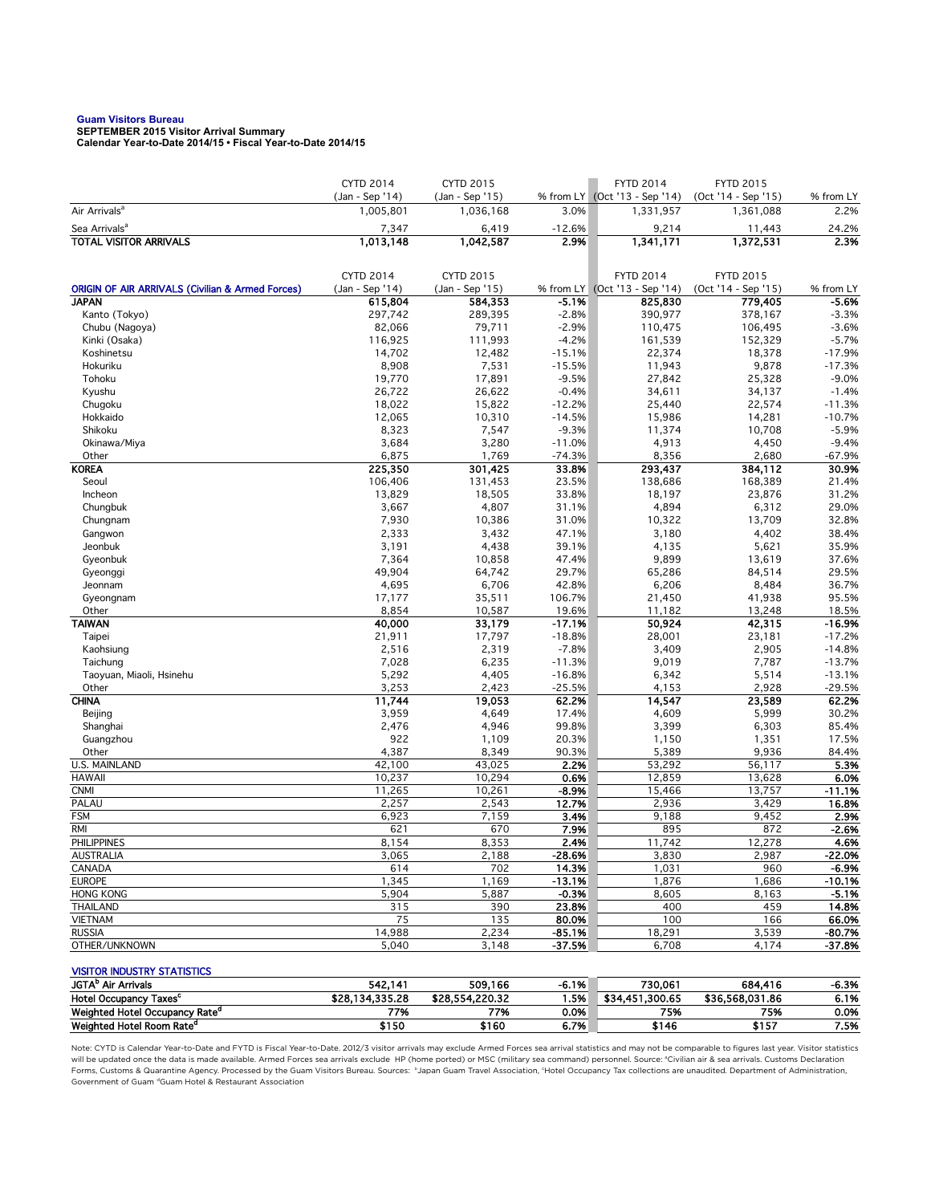## **Guam Visitors Bureau SEPTEMBER 2015 Visitor Arrival Summary**

**Calendar Year-to-Date 2014/15 • Fiscal Year-to-Date 2014/15** 

|                                                             | <b>CYTD 2014</b>             | <b>CYTD 2015</b>             |                | <b>FYTD 2014</b>                           | <b>FYTD 2015</b>                 |                   |
|-------------------------------------------------------------|------------------------------|------------------------------|----------------|--------------------------------------------|----------------------------------|-------------------|
| Air Arrivals <sup>a</sup>                                   | (Jan - Sep '14)<br>1,005,801 | (Jan - Sep '15)<br>1,036,168 | 3.0%           | % from LY (Oct '13 - Sep '14)<br>1,331,957 | (Oct '14 - Sep '15)<br>1,361,088 | % from LY<br>2.2% |
| Sea Arrivals <sup>a</sup>                                   | 7,347                        | 6,419                        | $-12.6%$       | 9,214                                      | 11,443                           | 24.2%             |
| <b>TOTAL VISITOR ARRIVALS</b>                               | 1,013,148                    | 1,042,587                    | 2.9%           | 1,341,171                                  | 1,372,531                        | 2.3%              |
|                                                             |                              |                              |                |                                            |                                  |                   |
|                                                             | <b>CYTD 2014</b>             | <b>CYTD 2015</b>             |                | <b>FYTD 2014</b>                           | <b>FYTD 2015</b>                 |                   |
| <b>ORIGIN OF AIR ARRIVALS (Civilian &amp; Armed Forces)</b> | (Jan - Sep '14)              | (Jan - Sep '15)              |                | % from LY (Oct '13 - Sep '14)              | (Oct '14 - Sep '15)              | % from LY         |
| <b>JAPAN</b>                                                | 615,804                      | 584,353                      | $-5.1%$        | 825,830                                    | 779,405                          | $-5.6%$           |
| Kanto (Tokyo)                                               | 297,742                      | 289,395                      | $-2.8%$        | 390,977                                    | 378,167                          | $-3.3%$           |
| Chubu (Nagoya)                                              | 82,066                       | 79,711                       | $-2.9%$        | 110,475                                    | 106,495                          | $-3.6%$           |
| Kinki (Osaka)                                               | 116,925                      | 111,993                      | $-4.2%$        | 161,539                                    | 152,329                          | $-5.7%$           |
| Koshinetsu                                                  | 14,702                       | 12,482                       | $-15.1%$       | 22,374                                     | 18,378                           | $-17.9%$          |
| Hokuriku                                                    | 8,908                        | 7,531                        | $-15.5%$       | 11,943                                     | 9,878                            | $-17.3%$          |
| Tohoku                                                      | 19,770                       | 17,891                       | $-9.5%$        | 27,842                                     | 25,328                           | $-9.0%$           |
| Kyushu                                                      | 26,722                       | 26,622                       | $-0.4%$        | 34,611                                     | 34,137                           | $-1.4%$           |
| Chugoku                                                     | 18,022                       | 15,822                       | $-12.2%$       | 25,440                                     | 22,574                           | $-11.3%$          |
| Hokkaido                                                    | 12,065                       | 10,310                       | $-14.5%$       | 15,986                                     | 14,281                           | $-10.7%$          |
| Shikoku                                                     | 8,323                        | 7,547                        | $-9.3%$        | 11,374                                     | 10,708                           | $-5.9%$           |
| Okinawa/Miya                                                | 3,684                        | 3,280                        | $-11.0%$       | 4,913                                      | 4,450                            | $-9.4%$           |
| Other<br><b>KOREA</b>                                       | 6,875                        | 1,769                        | $-74.3%$       | 8,356<br>293,437                           | 2,680                            | $-67.9%$          |
| Seoul                                                       | 225,350                      | 301,425                      | 33.8%          |                                            | 384,112                          | 30.9%<br>21.4%    |
| Incheon                                                     | 106,406<br>13,829            | 131,453<br>18,505            | 23.5%<br>33.8% | 138,686<br>18,197                          | 168,389<br>23,876                | 31.2%             |
| Chungbuk                                                    | 3,667                        | 4,807                        | 31.1%          | 4,894                                      | 6,312                            | 29.0%             |
| Chungnam                                                    | 7,930                        | 10,386                       | 31.0%          | 10,322                                     | 13,709                           | 32.8%             |
| Gangwon                                                     | 2,333                        | 3,432                        | 47.1%          | 3,180                                      | 4,402                            | 38.4%             |
| Jeonbuk                                                     | 3,191                        | 4,438                        | 39.1%          | 4,135                                      | 5,621                            | 35.9%             |
| Gyeonbuk                                                    | 7,364                        | 10,858                       | 47.4%          | 9,899                                      | 13,619                           | 37.6%             |
| Gyeonggi                                                    | 49,904                       | 64,742                       | 29.7%          | 65,286                                     | 84,514                           | 29.5%             |
| Jeonnam                                                     | 4,695                        | 6,706                        | 42.8%          | 6,206                                      | 8,484                            | 36.7%             |
| Gyeongnam                                                   | 17,177                       | 35,511                       | 106.7%         | 21,450                                     | 41,938                           | 95.5%             |
| Other                                                       | 8,854                        | 10,587                       | 19.6%          | 11,182                                     | 13,248                           | 18.5%             |
| <b>TAIWAN</b>                                               | 40,000                       | 33,179                       | $-17.1%$       | 50,924                                     | 42,315                           | $-16.9%$          |
| Taipei                                                      | 21,911                       | 17,797                       | $-18.8%$       | 28,001                                     | 23,181                           | $-17.2%$          |
| Kaohsiung                                                   | 2,516                        | 2,319                        | $-7.8%$        | 3,409                                      | 2,905                            | $-14.8%$          |
| Taichung                                                    | 7,028                        | 6,235                        | $-11.3%$       | 9,019                                      | 7,787                            | $-13.7%$          |
| Taoyuan, Miaoli, Hsinehu                                    | 5,292                        | 4,405                        | $-16.8%$       | 6,342                                      | 5,514                            | $-13.1%$          |
| Other                                                       | 3,253                        | 2,423                        | $-25.5%$       | 4,153                                      | 2,928                            | $-29.5%$          |
| <b>CHINA</b>                                                | 11,744                       | 19,053                       | 62.2%          | 14,547                                     | 23,589                           | 62.2%             |
| Beijing                                                     | 3,959                        | 4,649                        | 17.4%          | 4,609                                      | 5,999                            | 30.2%             |
| Shanghai                                                    | 2,476                        | 4,946                        | 99.8%          | 3,399                                      | 6,303                            | 85.4%             |
| Guangzhou                                                   | 922                          | 1,109                        | 20.3%          | 1,150                                      | 1,351                            | 17.5%             |
| Other                                                       | 4,387                        | 8,349                        | 90.3%<br>2.2%  | 5,389                                      | 9,936                            | 84.4%             |
| <b>U.S. MAINLAND</b><br><b>HAWAII</b>                       | 42,100<br>10,237             | 43,025<br>10,294             | 0.6%           | 53,292<br>12,859                           | 56,117<br>13,628                 | 5.3%<br>6.0%      |
| <b>CNMI</b>                                                 | 11,265                       | 10,261                       | $-8.9%$        | 15,466                                     | 13,757                           | $-11.1%$          |
| PALAU                                                       | 2,257                        | 2,543                        | 12.7%          | 2,936                                      | 3,429                            | 16.8%             |
| <b>FSM</b>                                                  | 6,923                        | 7,159                        | 3.4%           | 9,188                                      | 9,452                            | 2.9%              |
| <b>RMI</b>                                                  | 621                          | 670                          | 7.9%           | 895                                        | 872                              | $-2.6%$           |
| <b>PHILIPPINES</b>                                          | 8,154                        | 8,353                        | 2.4%           | 11,742                                     | 12,278                           | 4.6%              |
| AUSTRALIA                                                   | 3,065                        | 2,188                        | $-28.6%$       | 3,830                                      | 2,987                            | -22.0%            |
| CANADA                                                      | 614                          | 702                          | 14.3%          | 1,031                                      | 960                              | -6.9%             |
| <b>EUROPE</b>                                               | 1,345                        | 1,169                        | $-13.1%$       | 1,876                                      | 1,686                            | $-10.1%$          |
| <b>HONG KONG</b>                                            | 5,904                        | 5,887                        | $-0.3%$        | 8,605                                      | 8,163                            | $-5.1%$           |
| <b>THAILAND</b>                                             | 315                          | 390                          | 23.8%          | 400                                        | 459                              | 14.8%             |
| <b>VIETNAM</b>                                              | 75                           | 135                          | 80.0%          | 100                                        | 166                              | 66.0%             |
| <b>RUSSIA</b>                                               | 14,988                       | 2,234                        | $-85.1%$       | 18,291                                     | 3,539                            | $-80.7%$          |
| OTHER/UNKNOWN                                               | 5,040                        | 3,148                        | $-37.5%$       | 6,708                                      | 4,174                            | -37.8%            |
|                                                             |                              |                              |                |                                            |                                  |                   |
| <b>VISITOR INDUSTRY STATISTICS</b>                          |                              |                              |                |                                            |                                  |                   |
| JGTA <sup>b</sup> Air Arrivals                              | 542,141                      | 509,166                      | $-6.1%$        | 730,061                                    | 684,416                          | -6.3%             |
| Hotel Occupancy Taxes <sup>c</sup>                          | \$28,134,335.28              | \$28,554,220.32              | 1.5%           | \$34,451,300.65                            | \$36,568,031.86                  | 6.1%              |
| Weighted Hotel Occupancy Rate <sup>d</sup>                  | 77%                          | 77%                          | 0.0%           | 75%                                        | 75%                              | 0.0%              |

Note: CYTD is Calendar Year-to-Date and FYTD is Fiscal Year-to-Date. 2012/3 visitor arrivals may exclude Armed Forces sea arrival statistics and may not be comparable to figures last year. Visitor statistics will be updated once the data is made available. Armed Forces sea arrivals exclude HP (home ported) or MSC (military sea command) personnel. Source: °Civilian air & sea arrivals. Customs Declaration<br>Forms, Customs & Quaran Government of Guam dGuam Hotel & Restaurant Association

Weighted Hotel Room Rate<sup>d</sup> 6.7% \$150 \$160 \$160 \$160 \$146 \$157 7.5%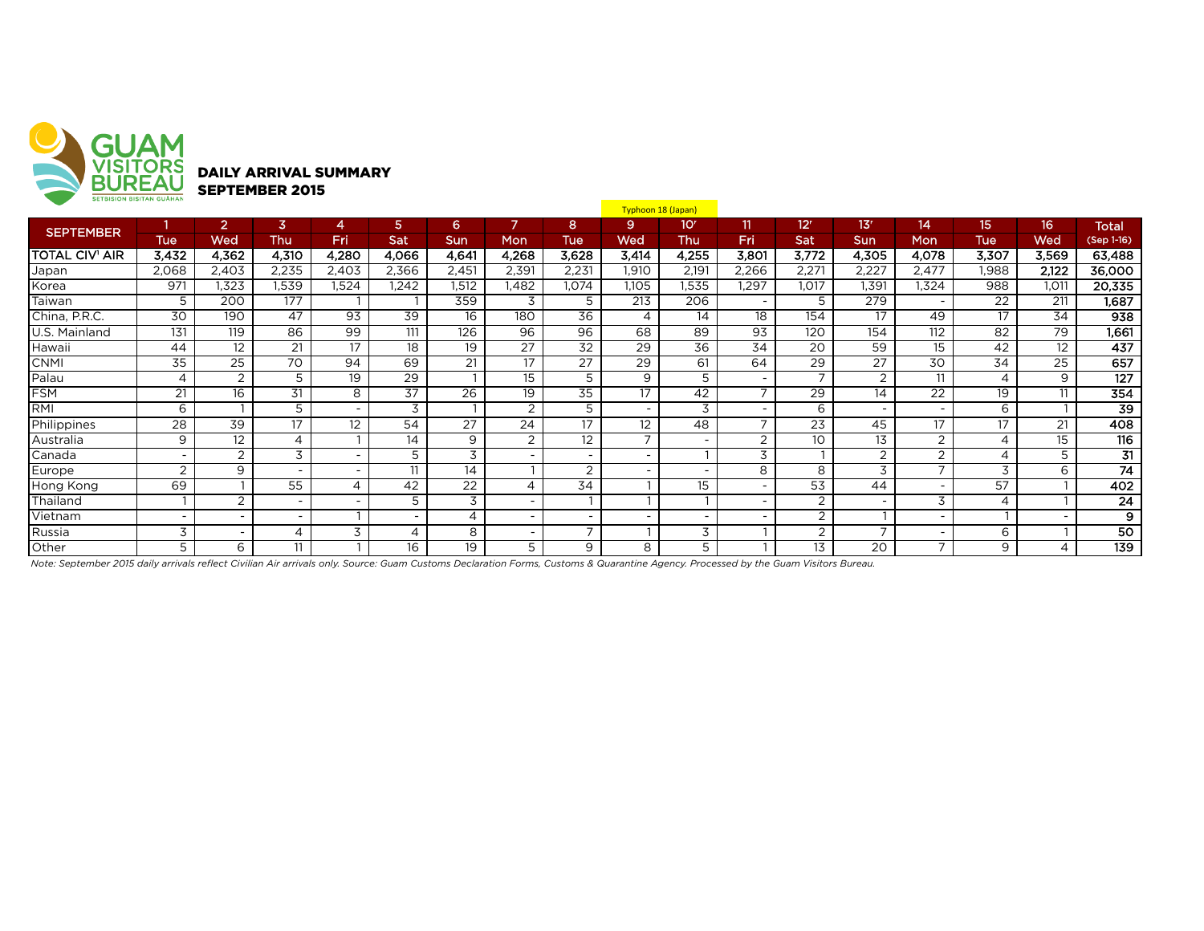

|                       | <b>SEIBISIUN BISHAN GUAHAN</b> |                          |                          |                          |                          |                 |                          |                          | Typhoon 18 (Japan)       |                          |                          |                 |                          |                          |            |                          |                 |
|-----------------------|--------------------------------|--------------------------|--------------------------|--------------------------|--------------------------|-----------------|--------------------------|--------------------------|--------------------------|--------------------------|--------------------------|-----------------|--------------------------|--------------------------|------------|--------------------------|-----------------|
| <b>SEPTEMBER</b>      |                                | $\overline{2}$           | 3                        | 4                        | 5.                       | 6               | 7                        | 8                        | 9                        | 10 <sup>r</sup>          | $\mathbf{11}$            | 12 <sup>r</sup> | 13'                      | 14                       | 15         | 16                       | <b>Total</b>    |
|                       | <b>Tue</b>                     | Wed                      | <b>Thu</b>               | Fri                      | Sat                      | <b>Sun</b>      | Mon                      | <b>Tue</b>               | Wed                      | Thu                      | Fri                      | Sat             | Sun                      | Mon                      | <b>Tue</b> | Wed                      | (Sep 1-16)      |
| <b>TOTAL CIV' AIR</b> | 3,432                          | 4,362                    | 4,310                    | 4,280                    | 4,066                    | 4,641           | 4,268                    | 3,628                    | 3,414                    | 4,255                    | 3,801                    | 3,772           | 4,305                    | 4,078                    | 3,307      | 3,569                    | 63,488          |
| Japan                 | 2,068                          | 2,403                    | 2,235                    | 2,403                    | 2,366                    | 2,451           | 2,391                    | 2,231                    | 1,910                    | 2,191                    | 2,266                    | 2,271           | 2,227                    | 2,477                    | 1,988      | 2,122                    | 36,000          |
| Korea                 | 971                            | .323                     | 1,539                    | .524                     | 1,242                    | .512            | 1,482                    | 1,074                    | 1,105                    | 1,535                    | ,297                     | 1,017           | 1.391                    | 1,324                    | 988        | 1,011                    | 20,335          |
| Taiwan                | 5                              | 200                      | 177                      |                          |                          | 359             | 3                        | 5                        | 213                      | 206                      | $\overline{\phantom{0}}$ | 5               | 279                      | $\overline{\phantom{a}}$ | 22         | 211                      | 1,687           |
| China, P.R.C.         | 30                             | 190                      | 47                       | 93                       | 39                       | 16              | 180                      | 36                       | 4                        | 14                       | 18                       | 154             | 17                       | 49                       | 17         | 34                       | 938             |
| U.S. Mainland         | 131                            | 119                      | 86                       | 99                       | 111                      | 126             | 96                       | 96                       | 68                       | 89                       | $\overline{93}$          | 120             | 154                      | 112                      | 82         | 79                       | 1,661           |
| Hawaii                | 44                             | 12                       | 21                       | 17                       | $\overline{18}$          | 19              | $\overline{27}$          | $\overline{32}$          | 29                       | $\overline{36}$          | 34                       | 20              | 59                       | 15 <sup>15</sup>         | 42         | 12                       | 437             |
| <b>CNMI</b>           | 35                             | 25                       | 70                       | 94                       | 69                       | 21              | 17                       | 27                       | 29                       | 61                       | 64                       | 29              | 27                       | 30                       | 34         | 25                       | 657             |
| Palau                 | $\overline{4}$                 | 2                        | 5                        | 19                       | $\overline{29}$          |                 | 15                       | 5                        | 9                        | 5                        | $\sim$                   | $\overline{ }$  | 2                        | 11                       | 4          | 9                        | 127             |
| <b>FSM</b>            | 21                             | 16                       | 31                       | 8                        | 37                       | $\overline{26}$ | 19                       | $\overline{35}$          | 17                       | 42                       | $\overline{7}$           | 29              | 14                       | 22                       | 19         | 11                       | 354             |
| RMI                   | 6                              |                          | 5                        | $\overline{\phantom{a}}$ | 3                        |                 | 2                        | 5                        |                          | 3                        | $\overline{\phantom{a}}$ | 6               | $\overline{\phantom{a}}$ | $\overline{\phantom{0}}$ | 6          |                          | $\overline{39}$ |
| Philippines           | 28                             | 39                       | 17                       | $12 \overline{ }$        | 54                       | 27              | 24                       | 17                       | 12                       | 48                       | $\overline{7}$           | 23              | 45                       | 17                       | 17         | 21                       | 408             |
| Australia             | 9                              | 12                       | 4                        |                          | 14                       | 9               | 2                        | 12                       | $\overline{ }$           | $\overline{\phantom{0}}$ | 2                        | 10              | 13                       | 2                        | 4          | 15                       | 116             |
| Canada                | $\overline{\phantom{a}}$       | 2                        | 3                        | $\overline{\phantom{a}}$ | 5                        | 3               |                          |                          |                          |                          | 3                        |                 | $\overline{2}$           | 2                        | 4          | 5                        | $\overline{31}$ |
| Europe                | $\overline{2}$                 | 9                        | $\overline{\phantom{a}}$ | $\overline{\phantom{0}}$ | 11                       | 14              |                          | 2                        |                          | $\overline{\phantom{0}}$ | 8                        | 8               | 3                        | $\overline{ }$           | 3          | 6                        | 74              |
| Hong Kong             | 69                             |                          | 55                       | 4                        | 42                       | 22              | 4                        | 34                       |                          | 15                       | $\overline{\phantom{a}}$ | 53              | 44                       | $\overline{\phantom{a}}$ | 57         |                          | 402             |
| Thailand              |                                | 2                        | $\sim$                   | $\overline{\phantom{0}}$ | 5                        | 3               | $\sim$                   |                          |                          |                          | $\overline{\phantom{0}}$ | 2               | $\overline{\phantom{0}}$ | 3                        | 4          |                          | 24              |
| Vietnam               | $\overline{\phantom{a}}$       | $\overline{\phantom{a}}$ | $\overline{\phantom{a}}$ |                          | $\overline{\phantom{a}}$ | 4               | $\overline{\phantom{0}}$ | $\overline{\phantom{0}}$ | $\overline{\phantom{0}}$ | $\overline{\phantom{a}}$ | $\overline{\phantom{a}}$ | 2               |                          | $\overline{\phantom{a}}$ |            | $\overline{\phantom{0}}$ | 9               |
| Russia                | 3                              | $\overline{\phantom{0}}$ | 4                        | 3                        | $\overline{4}$           | 8               | $\overline{\phantom{0}}$ | -                        |                          | 3                        |                          | 2               | $\overline{\phantom{a}}$ | $\overline{\phantom{a}}$ | 6          |                          | 50              |
| Other                 | 5                              | 6                        | 11                       |                          | 16                       | 19              | 5                        | 9                        | 8                        | 5                        |                          | 13              | 20                       | $\overline{ }$           | 9          | 4                        | 139             |

*Note: September 2015 daily arrivals reflect Civilian Air arrivals only. Source: Guam Customs Declaration Forms, Customs & Quarantine Agency. Processed by the Guam Visitors Bureau.*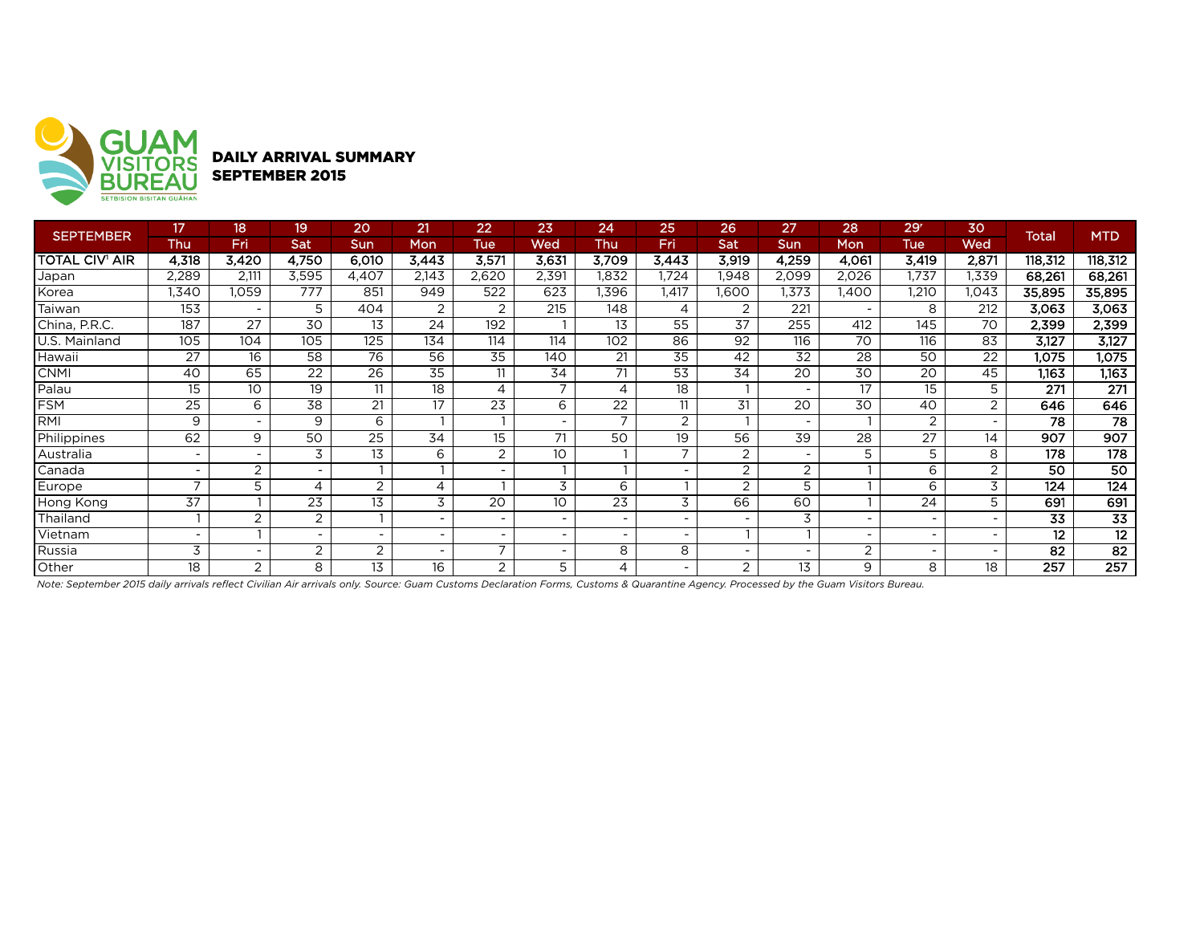

DAILY ARRIVAL SUMMARY SEPTEMBER 2015

| <b>SEPTEMBER</b>      | 17              | 18 <sup>1</sup>          | 19                       | 20                       | 21                       | 22                       | 23                       | 24                       | 25                       | 26                       | 27                       | 28                       | 29 <sup>r</sup> | 30             | <b>Total</b> | <b>MTD</b>      |
|-----------------------|-----------------|--------------------------|--------------------------|--------------------------|--------------------------|--------------------------|--------------------------|--------------------------|--------------------------|--------------------------|--------------------------|--------------------------|-----------------|----------------|--------------|-----------------|
|                       | Thu             | Fri                      | Sat                      | Sun                      | Mon                      | Tue                      | Wed                      | Thu                      | Fri                      | Sat                      | Sun                      | Mon                      | Tue             | Wed            |              |                 |
| <b>TOTAL CIV' AIR</b> | 4,318           | 3,420                    | 4,750                    | 6,010                    | 3,443                    | 3,571                    | 3,631                    | 3,709                    | 3,443                    | 3,919                    | 4,259                    | 4,061                    | 3,419           | 2,871          | 118,312      | 118,312         |
| Japan                 | 2,289           | 2,111                    | 3,595                    | 4,407                    | 2,143                    | 2,620                    | 2,391                    | .832                     | .724                     | .948                     | 2,099                    | 2,026                    | 1,737           | 1,339          | 68,261       | 68,261          |
| Korea                 | .340            | 1,059                    | 777                      | 851                      | 949                      | 522                      | 623                      | .396                     | ,417                     | 1.600                    | 1,373                    | ,400                     | .210            | 1,043          | 35,895       | 35,895          |
| Taiwan                | 153             |                          | 5                        | 404                      | 2                        | 2                        | 215                      | 148                      | 4                        | 2                        | 221                      | $\overline{\phantom{a}}$ | 8               | 212            | 3,063        | 3,063           |
| China, P.R.C.         | 187             | 27                       | 30                       | 13                       | 24                       | 192                      |                          | 13                       | 55                       | 37                       | 255                      | 412                      | 145             | 70             | 2,399        | 2,399           |
| U.S. Mainland         | 105             | 104                      | 105                      | 125                      | 134                      | 114                      | 114                      | 102                      | 86                       | 92                       | 116                      | 70                       | 116             | 83             | 3,127        | 3,127           |
| Hawaii                | 27              | 16                       | 58                       | 76                       | 56                       | 35                       | 140                      | 21                       | 35                       | 42                       | 32                       | 28                       | 50              | 22             | 1,075        | 1,075           |
| <b>CNMI</b>           | 40              | 65                       | 22                       | 26                       | 35                       | 11                       | 34                       | 71                       | 53                       | 34                       | 20                       | 30                       | 20              | 45             | 1,163        | 1,163           |
| Palau                 | 15              | 10                       | 19                       | 11                       | 18                       | 4                        | $\overline{ }$           | 4                        | 18                       |                          | $\sim$                   | 17                       | 15              | 5              | 271          | 271             |
| <b>FSM</b>            | 25              | 6                        | 38                       | 21                       | 17                       | 23                       | 6                        | 22                       | 11                       | 31                       | 20                       | 30                       | 40              | $\overline{2}$ | 646          | 646             |
| RMI                   | 9               | $\overline{\phantom{a}}$ | 9                        | 6                        |                          |                          |                          | $\overline{ }$           | $\overline{2}$           |                          | $\overline{\phantom{a}}$ |                          | $\overline{2}$  | -              | 78           | $\overline{78}$ |
| Philippines           | 62              | 9                        | 50                       | 25                       | 34                       | 15                       | 71                       | 50                       | 19                       | 56                       | 39                       | 28                       | 27              | 14             | 907          | 907             |
| Australia             |                 |                          | 3                        | 13                       | 6                        | 2                        | 10 <sup>°</sup>          |                          | ⇁                        | 2                        | $\overline{\phantom{a}}$ | 5                        | 5               | 8              | 178          | 178             |
| Canada                |                 | $\overline{2}$           | $\overline{\phantom{a}}$ |                          |                          |                          |                          |                          |                          | 2                        | $\overline{2}$           |                          | 6               | 2              | 50           | 50              |
| Europe                | ⇁               | 5                        | 4                        | 2                        | $\overline{4}$           |                          | 3                        | 6                        |                          | 2                        | 5                        |                          | 6               | 3              | 124          | 124             |
| Hong Kong             | $\overline{37}$ |                          | $\overline{23}$          | 13                       | 3                        | 20                       | 10 <sup>°</sup>          | $\overline{23}$          | 3                        | 66                       | 60                       |                          | 24              |                | 691          | 691             |
| Thailand              |                 | $\overline{2}$           | 2                        |                          | $\overline{\phantom{a}}$ | $\overline{\phantom{a}}$ | $\overline{\phantom{0}}$ | $\overline{\phantom{a}}$ | $\overline{\phantom{a}}$ | $\overline{\phantom{a}}$ | 3                        | $\overline{\phantom{a}}$ |                 |                | 33           | $\overline{33}$ |
| Vietnam               |                 |                          | $\overline{\phantom{0}}$ | $\overline{\phantom{a}}$ | $\overline{\phantom{a}}$ |                          |                          | $\overline{\phantom{a}}$ |                          |                          |                          | $\overline{\phantom{a}}$ |                 |                | 12           | $\overline{12}$ |
| Russia                | 3               |                          | 2                        | 2                        | $\overline{\phantom{a}}$ |                          |                          | 8                        | 8                        |                          | $\overline{\phantom{0}}$ | $\overline{2}$           |                 |                | 82           | 82              |
| Other                 | 18              | $\overline{2}$           | 8                        | 13                       | 16                       | $\overline{2}$           | 5                        | 4                        |                          | 2                        | 13                       | 9                        | 8               | 18             | 257          | 257             |

*Note: September 2015 daily arrivals reflect Civilian Air arrivals only. Source: Guam Customs Declaration Forms, Customs & Quarantine Agency. Processed by the Guam Visitors Bureau.*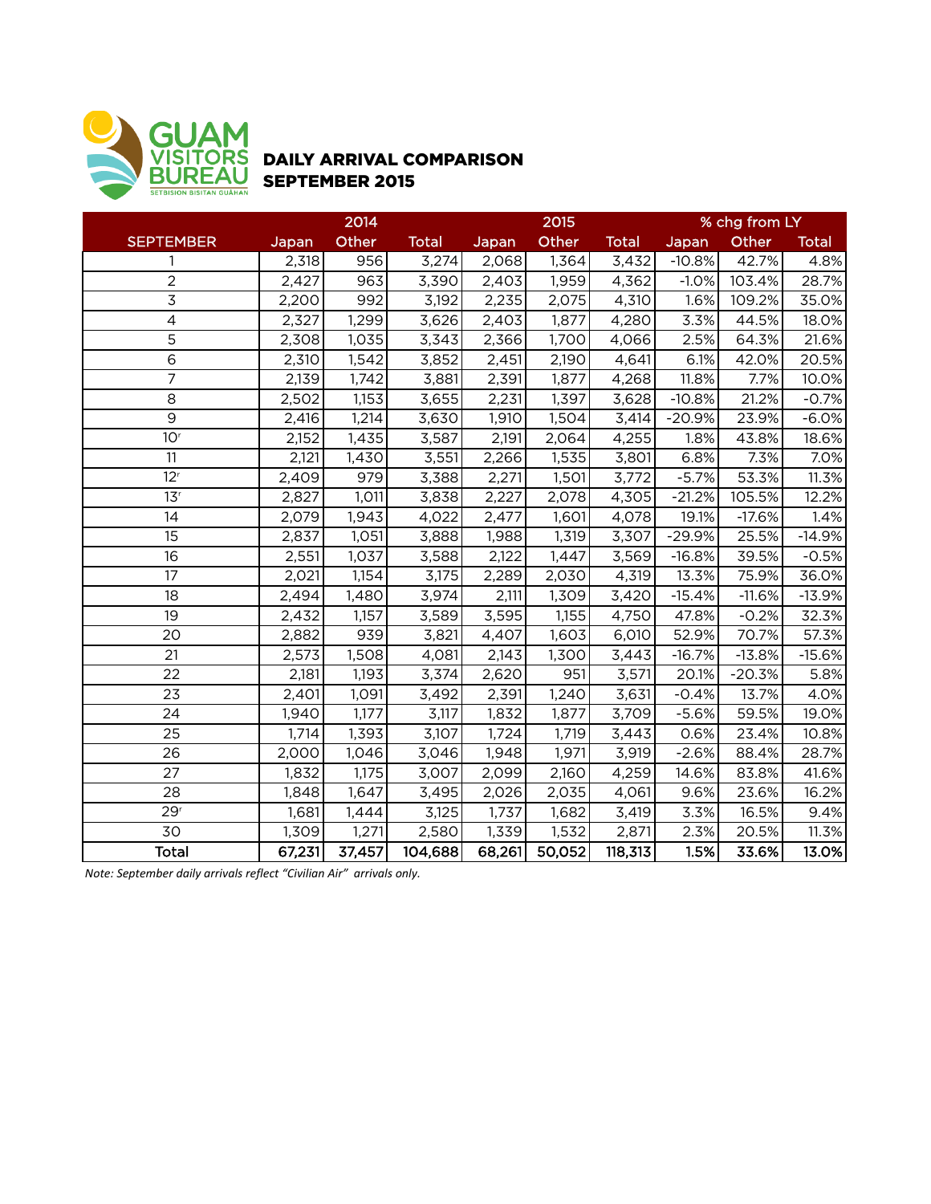

## DAILY ARRIVAL COMPARISON SEPTEMBER 2015

|                          |        | 2014   |              |        | 2015   |              |          | % chg from LY |              |
|--------------------------|--------|--------|--------------|--------|--------|--------------|----------|---------------|--------------|
| <b>SEPTEMBER</b>         | Japan  | Other  | <b>Total</b> | Japan  | Other  | <b>Total</b> | Japan    | Other         | <b>Total</b> |
| 1                        | 2,318  | 956    | 3,274        | 2,068  | 1,364  | 3,432        | $-10.8%$ | 42.7%         | 4.8%         |
| $\overline{2}$           | 2,427  | 963    | 3,390        | 2,403  | 1,959  | 4,362        | $-1.0%$  | 103.4%        | 28.7%        |
| $\overline{3}$           | 2,200  | 992    | 3,192        | 2,235  | 2,075  | 4,310        | 1.6%     | 109.2%        | 35.0%        |
| $\overline{\mathcal{L}}$ | 2,327  | 1,299  | 3,626        | 2,403  | 1,877  | 4,280        | 3.3%     | 44.5%         | 18.0%        |
| 5                        | 2,308  | 1,035  | 3,343        | 2,366  | 1,700  | 4,066        | 2.5%     | 64.3%         | 21.6%        |
| 6                        | 2,310  | 1,542  | 3,852        | 2,451  | 2,190  | 4,641        | 6.1%     | 42.0%         | 20.5%        |
| $\overline{7}$           | 2,139  | 1,742  | 3,881        | 2,391  | 1,877  | 4,268        | 11.8%    | 7.7%          | 10.0%        |
| 8                        | 2,502  | 1,153  | 3,655        | 2,231  | 1,397  | 3,628        | $-10.8%$ | 21.2%         | $-0.7%$      |
| 9                        | 2,416  | 1,214  | 3,630        | 1,910  | 1,504  | 3,414        | $-20.9%$ | 23.9%         | $-6.0%$      |
| 10 <sup>r</sup>          | 2,152  | 1,435  | 3,587        | 2,191  | 2,064  | 4,255        | 1.8%     | 43.8%         | 18.6%        |
| 11                       | 2,121  | 1,430  | 3,551        | 2,266  | 1,535  | 3,801        | 6.8%     | 7.3%          | 7.0%         |
| 12 <sup>r</sup>          | 2,409  | 979    | 3,388        | 2,271  | 1,501  | 3,772        | $-5.7%$  | 53.3%         | 11.3%        |
| 13 <sup>r</sup>          | 2,827  | 1,011  | 3,838        | 2,227  | 2,078  | 4,305        | $-21.2%$ | 105.5%        | 12.2%        |
| 14                       | 2,079  | 1,943  | 4,022        | 2,477  | 1,601  | 4,078        | 19.1%    | $-17.6%$      | 1.4%         |
| 15                       | 2,837  | 1,051  | 3,888        | 1,988  | 1,319  | 3,307        | $-29.9%$ | 25.5%         | $-14.9%$     |
| 16                       | 2,551  | 1,037  | 3,588        | 2,122  | 1,447  | 3,569        | $-16.8%$ | 39.5%         | $-0.5%$      |
| 17                       | 2,021  | 1,154  | 3,175        | 2,289  | 2,030  | 4,319        | 13.3%    | 75.9%         | 36.0%        |
| 18                       | 2,494  | 1,480  | 3,974        | 2,111  | 1,309  | 3,420        | $-15.4%$ | $-11.6%$      | $-13.9%$     |
| 19                       | 2,432  | 1,157  | 3,589        | 3,595  | 1,155  | 4,750        | 47.8%    | $-0.2%$       | 32.3%        |
| 20                       | 2,882  | 939    | 3,821        | 4,407  | 1,603  | 6,010        | 52.9%    | 70.7%         | 57.3%        |
| 21                       | 2,573  | 1,508  | 4,081        | 2,143  | 1,300  | 3,443        | $-16.7%$ | $-13.8%$      | $-15.6%$     |
| 22                       | 2,181  | 1,193  | 3,374        | 2,620  | 951    | 3,571        | 20.1%    | $-20.3%$      | 5.8%         |
| 23                       | 2,401  | 1,091  | 3,492        | 2,391  | 1,240  | 3,631        | $-0.4%$  | 13.7%         | 4.0%         |
| 24                       | 1,940  | 1,177  | 3,117        | 1,832  | 1,877  | 3,709        | $-5.6%$  | 59.5%         | 19.0%        |
| 25                       | 1,714  | 1,393  | 3,107        | 1,724  | 1,719  | 3,443        | 0.6%     | 23.4%         | 10.8%        |
| 26                       | 2,000  | 1,046  | 3,046        | 1,948  | 1,971  | 3,919        | $-2.6%$  | 88.4%         | 28.7%        |
| 27                       | 1,832  | 1,175  | 3,007        | 2,099  | 2,160  | 4,259        | 14.6%    | 83.8%         | 41.6%        |
| 28                       | 1,848  | 1,647  | 3,495        | 2,026  | 2,035  | 4,061        | 9.6%     | 23.6%         | 16.2%        |
| 29 <sup>r</sup>          | 1,681  | 1,444  | 3,125        | 1,737  | 1,682  | 3,419        | 3.3%     | 16.5%         | 9.4%         |
| 30                       | 1,309  | 1,271  | 2,580        | 1,339  | 1,532  | 2,871        | 2.3%     | 20.5%         | 11.3%        |
| <b>Total</b>             | 67,231 | 37,457 | 104,688      | 68,261 | 50,052 | 118,313      | 1.5%     | 33.6%         | 13.0%        |

*Note:* September daily arrivals reflect "Civilian Air" arrivals only.